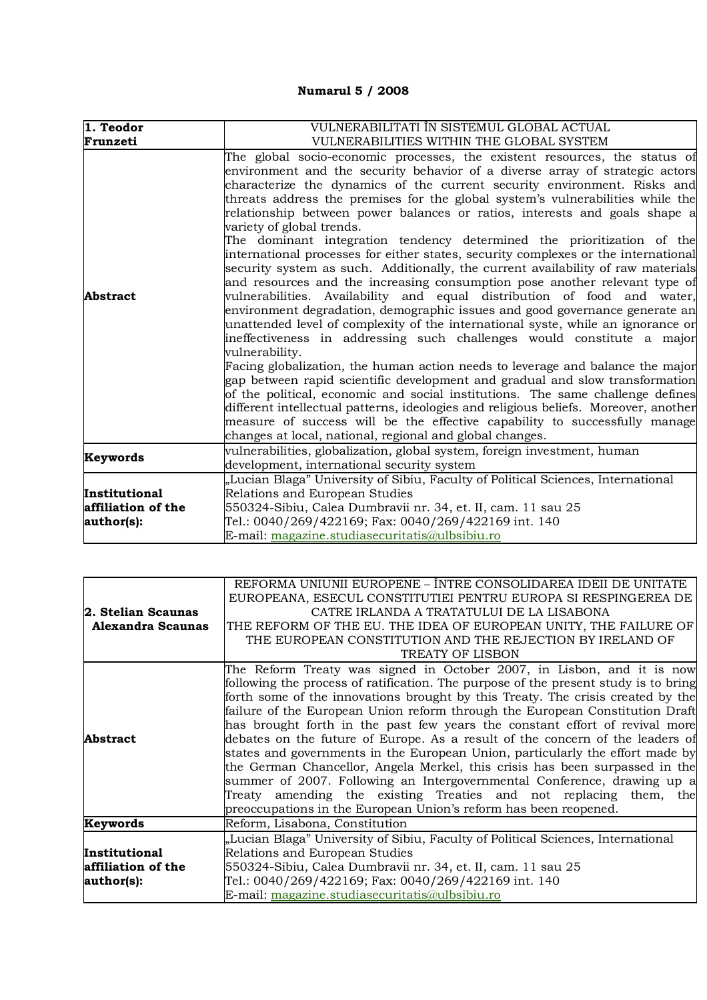## **Numarul 5 / 2008**

| 1. Teodor          | VULNERABILITATI ÎN SISTEMUL GLOBAL ACTUAL                                                                                                                                                                                                                                                                                                                                                                                                                                                                                                                                                                                                                                                                                                                                                                                                                                                                                                                                                                                                                                                                                                                                                                                                                                                                                                                                                                                                                                                                                                                                                             |
|--------------------|-------------------------------------------------------------------------------------------------------------------------------------------------------------------------------------------------------------------------------------------------------------------------------------------------------------------------------------------------------------------------------------------------------------------------------------------------------------------------------------------------------------------------------------------------------------------------------------------------------------------------------------------------------------------------------------------------------------------------------------------------------------------------------------------------------------------------------------------------------------------------------------------------------------------------------------------------------------------------------------------------------------------------------------------------------------------------------------------------------------------------------------------------------------------------------------------------------------------------------------------------------------------------------------------------------------------------------------------------------------------------------------------------------------------------------------------------------------------------------------------------------------------------------------------------------------------------------------------------------|
| Frunzeti           | VULNERABILITIES WITHIN THE GLOBAL SYSTEM                                                                                                                                                                                                                                                                                                                                                                                                                                                                                                                                                                                                                                                                                                                                                                                                                                                                                                                                                                                                                                                                                                                                                                                                                                                                                                                                                                                                                                                                                                                                                              |
| <b>Abstract</b>    | The global socio-economic processes, the existent resources, the status of<br>environment and the security behavior of a diverse array of strategic actors<br>characterize the dynamics of the current security environment. Risks and<br>threats address the premises for the global system's vulnerabilities while the<br>relationship between power balances or ratios, interests and goals shape a<br>variety of global trends.<br>The dominant integration tendency determined the prioritization of the<br>international processes for either states, security complexes or the international<br>security system as such. Additionally, the current availability of raw materials<br>and resources and the increasing consumption pose another relevant type of<br>vulnerabilities. Availability and equal distribution of food and water,<br>environment degradation, demographic issues and good governance generate an<br>unattended level of complexity of the international syste, while an ignorance or<br>ineffectiveness in addressing such challenges would constitute a major<br>vulnerability.<br>Facing globalization, the human action needs to leverage and balance the major<br>gap between rapid scientific development and gradual and slow transformation<br>of the political, economic and social institutions. The same challenge defines<br>different intellectual patterns, ideologies and religious beliefs. Moreover, another<br>measure of success will be the effective capability to successfully manage<br>changes at local, national, regional and global changes. |
| Keywords           | vulnerabilities, globalization, global system, foreign investment, human<br>development, international security system                                                                                                                                                                                                                                                                                                                                                                                                                                                                                                                                                                                                                                                                                                                                                                                                                                                                                                                                                                                                                                                                                                                                                                                                                                                                                                                                                                                                                                                                                |
|                    | "Lucian Blaga" University of Sibiu, Faculty of Political Sciences, International                                                                                                                                                                                                                                                                                                                                                                                                                                                                                                                                                                                                                                                                                                                                                                                                                                                                                                                                                                                                                                                                                                                                                                                                                                                                                                                                                                                                                                                                                                                      |
| Institutional      | Relations and European Studies                                                                                                                                                                                                                                                                                                                                                                                                                                                                                                                                                                                                                                                                                                                                                                                                                                                                                                                                                                                                                                                                                                                                                                                                                                                                                                                                                                                                                                                                                                                                                                        |
| affiliation of the | 550324-Sibiu, Calea Dumbravii nr. 34, et. II, cam. 11 sau 25                                                                                                                                                                                                                                                                                                                                                                                                                                                                                                                                                                                                                                                                                                                                                                                                                                                                                                                                                                                                                                                                                                                                                                                                                                                                                                                                                                                                                                                                                                                                          |
| author(s):         | Tel.: 0040/269/422169; Fax: 0040/269/422169 int. 140                                                                                                                                                                                                                                                                                                                                                                                                                                                                                                                                                                                                                                                                                                                                                                                                                                                                                                                                                                                                                                                                                                                                                                                                                                                                                                                                                                                                                                                                                                                                                  |
|                    | E-mail: magazine.studiasecuritatis@ulbsibiu.ro                                                                                                                                                                                                                                                                                                                                                                                                                                                                                                                                                                                                                                                                                                                                                                                                                                                                                                                                                                                                                                                                                                                                                                                                                                                                                                                                                                                                                                                                                                                                                        |

| author(s):                              | Tel.: 0040/269/422169; Fax: 0040/269/422169 int. 140<br>E-mail: magazine.studiasecuritatis@ulbsibiu.ro                                                                                                                                                                                                                                                                                                                                                                                                                                                                                                                                                                                                                                                                                                                                                                               |
|-----------------------------------------|--------------------------------------------------------------------------------------------------------------------------------------------------------------------------------------------------------------------------------------------------------------------------------------------------------------------------------------------------------------------------------------------------------------------------------------------------------------------------------------------------------------------------------------------------------------------------------------------------------------------------------------------------------------------------------------------------------------------------------------------------------------------------------------------------------------------------------------------------------------------------------------|
| Institutional<br>affiliation of the     | Relations and European Studies<br>550324-Sibiu, Calea Dumbravii nr. 34, et. II, cam. 11 sau 25                                                                                                                                                                                                                                                                                                                                                                                                                                                                                                                                                                                                                                                                                                                                                                                       |
|                                         | "Lucian Blaga" University of Sibiu, Faculty of Political Sciences, International                                                                                                                                                                                                                                                                                                                                                                                                                                                                                                                                                                                                                                                                                                                                                                                                     |
| Keywords                                | Reform, Lisabona, Constitution                                                                                                                                                                                                                                                                                                                                                                                                                                                                                                                                                                                                                                                                                                                                                                                                                                                       |
| <b>Abstract</b>                         | The Reform Treaty was signed in October 2007, in Lisbon, and it is now<br>following the process of ratification. The purpose of the present study is to bring<br>forth some of the innovations brought by this Treaty. The crisis created by the<br>failure of the European Union reform through the European Constitution Draft<br>has brought forth in the past few years the constant effort of revival more<br>debates on the future of Europe. As a result of the concern of the leaders of<br>states and governments in the European Union, particularly the effort made by<br>the German Chancellor, Angela Merkel, this crisis has been surpassed in the<br>summer of 2007. Following an Intergovernmental Conference, drawing up a<br>Treaty amending the existing Treaties and not replacing them, the<br>preoccupations in the European Union's reform has been reopened. |
| 2. Stelian Scaunas<br>Alexandra Scaunas | REFORMA UNIUNII EUROPENE – ÎNTRE CONSOLIDAREA IDEII DE UNITATE<br>EUROPEANA, ESECUL CONSTITUTIEI PENTRU EUROPA SI RESPINGEREA DE<br>CATRE IRLANDA A TRATATULUI DE LA LISABONA<br>THE REFORM OF THE EU. THE IDEA OF EUROPEAN UNITY, THE FAILURE OF<br>THE EUROPEAN CONSTITUTION AND THE REJECTION BY IRELAND OF<br><b>TREATY OF LISBON</b>                                                                                                                                                                                                                                                                                                                                                                                                                                                                                                                                            |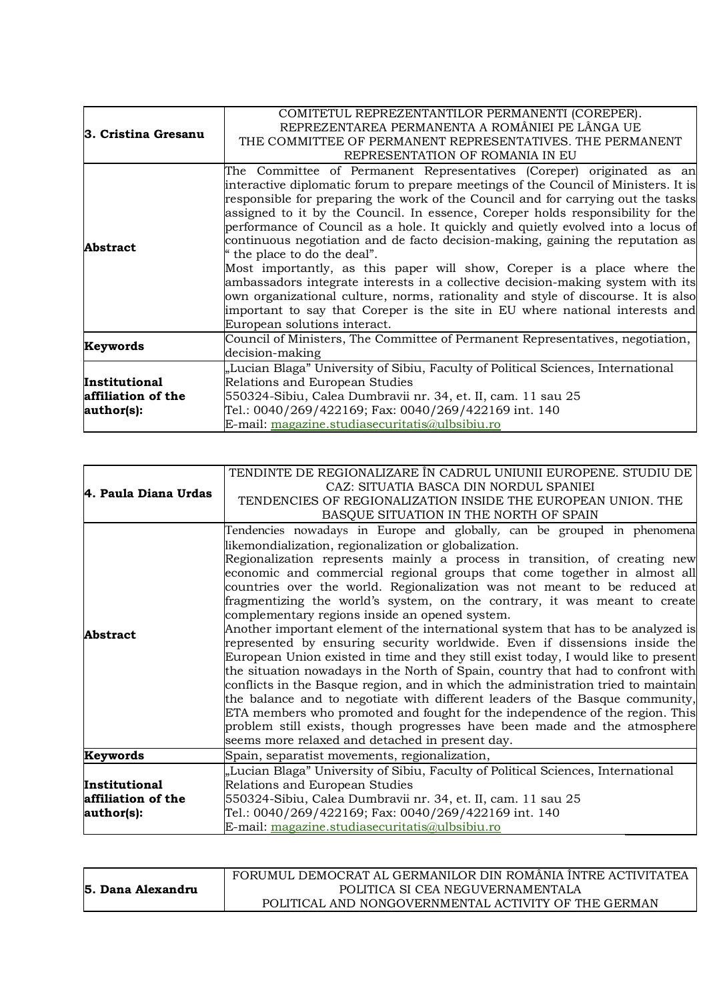| 3. Cristina Gresanu                               | COMITETUL REPREZENTANTILOR PERMANENTI (COREPER).<br>REPREZENTAREA PERMANENTA A ROMÂNIEI PE LÂNGA UE<br>THE COMMITTEE OF PERMANENT REPRESENTATIVES. THE PERMANENT<br>REPRESENTATION OF ROMANIA IN EU                                                                                                                                                                                                                                                                                                                                                                                                                                                                                                                                                                                                                                                                                                          |
|---------------------------------------------------|--------------------------------------------------------------------------------------------------------------------------------------------------------------------------------------------------------------------------------------------------------------------------------------------------------------------------------------------------------------------------------------------------------------------------------------------------------------------------------------------------------------------------------------------------------------------------------------------------------------------------------------------------------------------------------------------------------------------------------------------------------------------------------------------------------------------------------------------------------------------------------------------------------------|
| <b>Abstract</b>                                   | The Committee of Permanent Representatives (Coreper) originated as an<br>interactive diplomatic forum to prepare meetings of the Council of Ministers. It is<br>responsible for preparing the work of the Council and for carrying out the tasks<br>assigned to it by the Council. In essence, Coreper holds responsibility for the<br>performance of Council as a hole. It quickly and quietly evolved into a locus of<br>continuous negotiation and de facto decision-making, gaining the reputation as<br>" the place to do the deal".<br>Most importantly, as this paper will show, Coreper is a place where the<br>ambassadors integrate interests in a collective decision-making system with its<br>own organizational culture, norms, rationality and style of discourse. It is also<br>important to say that Coreper is the site in EU where national interests and<br>European solutions interact. |
| Keywords                                          | Council of Ministers, The Committee of Permanent Representatives, negotiation,<br>decision-making                                                                                                                                                                                                                                                                                                                                                                                                                                                                                                                                                                                                                                                                                                                                                                                                            |
| Institutional<br>affiliation of the<br>author(s): | "Lucian Blaga" University of Sibiu, Faculty of Political Sciences, International<br>Relations and European Studies<br>550324-Sibiu, Calea Dumbravii nr. 34, et. II, cam. 11 sau 25<br>Tel.: 0040/269/422169; Fax: 0040/269/422169 int. 140<br>E-mail: magazine.studiasecuritatis@ulbsibiu.ro                                                                                                                                                                                                                                                                                                                                                                                                                                                                                                                                                                                                                 |

|                      | TENDINTE DE REGIONALIZARE ÎN CADRUL UNIUNII EUROPENE. STUDIU DE                                                              |
|----------------------|------------------------------------------------------------------------------------------------------------------------------|
| 4. Paula Diana Urdas | CAZ: SITUATIA BASCA DIN NORDUL SPANIEI                                                                                       |
|                      | TENDENCIES OF REGIONALIZATION INSIDE THE EUROPEAN UNION. THE                                                                 |
|                      | BASQUE SITUATION IN THE NORTH OF SPAIN                                                                                       |
|                      | Tendencies nowadays in Europe and globally, can be grouped in phenomena                                                      |
|                      | likemondialization, regionalization or globalization.                                                                        |
|                      | Regionalization represents mainly a process in transition, of creating new                                                   |
|                      | economic and commercial regional groups that come together in almost all                                                     |
|                      | countries over the world. Regionalization was not meant to be reduced at                                                     |
| <b>Abstract</b>      | fragmentizing the world's system, on the contrary, it was meant to create                                                    |
|                      | complementary regions inside an opened system.                                                                               |
|                      | Another important element of the international system that has to be analyzed is                                             |
|                      | represented by ensuring security worldwide. Even if dissensions inside the                                                   |
|                      | European Union existed in time and they still exist today, I would like to present                                           |
|                      | the situation nowadays in the North of Spain, country that had to confront with                                              |
|                      | conflicts in the Basque region, and in which the administration tried to maintain                                            |
|                      | the balance and to negotiate with different leaders of the Basque community,                                                 |
|                      | ETA members who promoted and fought for the independence of the region. This                                                 |
|                      | problem still exists, though progresses have been made and the atmosphere<br>seems more relaxed and detached in present day. |
| Keywords             | Spain, separatist movements, regionalization,                                                                                |
|                      | "Lucian Blaga" University of Sibiu, Faculty of Political Sciences, International                                             |
| Institutional        | Relations and European Studies                                                                                               |
| affiliation of the   | 550324-Sibiu, Calea Dumbravii nr. 34, et. II, cam. 11 sau 25                                                                 |
| author(s):           | Tel.: 0040/269/422169; Fax: 0040/269/422169 int. 140                                                                         |
|                      | E-mail: magazine.studiasecuritatis@ulbsibiu.ro                                                                               |

|                   | FORUMUL DEMOCRAT AL GERMANILOR DIN ROMÂNIA ÎNTRE ACTIVITATEA |
|-------------------|--------------------------------------------------------------|
| 5. Dana Alexandru | POLITICA SI CEA NEGUVERNAMENTALA                             |
|                   | POLITICAL AND NONGOVERNMENTAL ACTIVITY OF THE GERMAN         |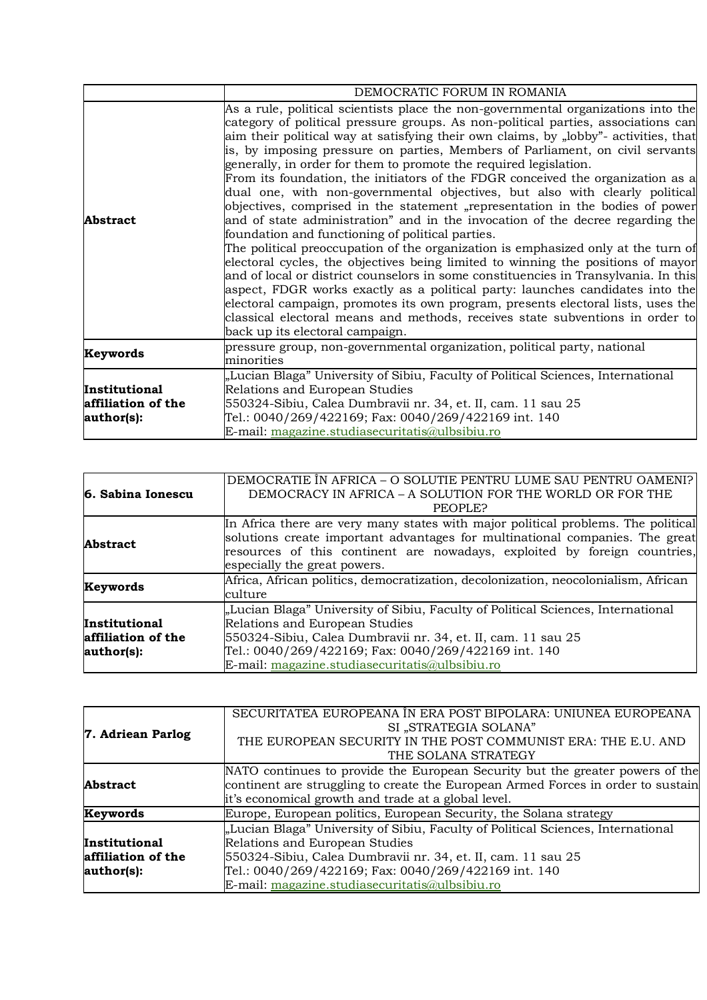|                                                   | DEMOCRATIC FORUM IN ROMANIA                                                                                                                                                                                                                                                                                                                                                                                                                                                                                                                                                                                                                                                                                                                                                                                                                                                                                                                                                                                                                                                                                                                                                                                                                                                                                                                                           |
|---------------------------------------------------|-----------------------------------------------------------------------------------------------------------------------------------------------------------------------------------------------------------------------------------------------------------------------------------------------------------------------------------------------------------------------------------------------------------------------------------------------------------------------------------------------------------------------------------------------------------------------------------------------------------------------------------------------------------------------------------------------------------------------------------------------------------------------------------------------------------------------------------------------------------------------------------------------------------------------------------------------------------------------------------------------------------------------------------------------------------------------------------------------------------------------------------------------------------------------------------------------------------------------------------------------------------------------------------------------------------------------------------------------------------------------|
| <b>Abstract</b>                                   | As a rule, political scientists place the non-governmental organizations into the<br>category of political pressure groups. As non-political parties, associations can<br>aim their political way at satisfying their own claims, by "lobby" activities, that<br>is, by imposing pressure on parties, Members of Parliament, on civil servants<br>generally, in order for them to promote the required legislation.<br>From its foundation, the initiators of the FDGR conceived the organization as a<br>dual one, with non-governmental objectives, but also with clearly political<br>objectives, comprised in the statement "representation in the bodies of power<br>and of state administration" and in the invocation of the decree regarding the<br>foundation and functioning of political parties.<br>The political preoccupation of the organization is emphasized only at the turn of<br>electoral cycles, the objectives being limited to winning the positions of mayor<br>and of local or district counselors in some constituencies in Transylvania. In this<br>aspect, FDGR works exactly as a political party: launches candidates into the<br>electoral campaign, promotes its own program, presents electoral lists, uses the<br>classical electoral means and methods, receives state subventions in order to<br>back up its electoral campaign. |
| Keywords                                          | pressure group, non-governmental organization, political party, national<br>minorities                                                                                                                                                                                                                                                                                                                                                                                                                                                                                                                                                                                                                                                                                                                                                                                                                                                                                                                                                                                                                                                                                                                                                                                                                                                                                |
| Institutional<br>affiliation of the<br>author(s): | "Lucian Blaga" University of Sibiu, Faculty of Political Sciences, International<br>Relations and European Studies<br>550324-Sibiu, Calea Dumbravii nr. 34, et. II, cam. 11 sau 25<br>Tel.: 0040/269/422169; Fax: 0040/269/422169 int. 140<br>E-mail: magazine.studiasecuritatis@ulbsibiu.ro                                                                                                                                                                                                                                                                                                                                                                                                                                                                                                                                                                                                                                                                                                                                                                                                                                                                                                                                                                                                                                                                          |

| 6. Sabina Ionescu                                 | DEMOCRATIE ÎN AFRICA - O SOLUTIE PENTRU LUME SAU PENTRU OAMENI?<br>DEMOCRACY IN AFRICA – A SOLUTION FOR THE WORLD OR FOR THE<br>PEOPLE?                                                                                                                                                      |
|---------------------------------------------------|----------------------------------------------------------------------------------------------------------------------------------------------------------------------------------------------------------------------------------------------------------------------------------------------|
| <b>Abstract</b>                                   | In Africa there are very many states with major political problems. The political<br>solutions create important advantages for multinational companies. The great<br>resources of this continent are nowadays, exploited by foreign countries,<br>especially the great powers.               |
| Keywords                                          | Africa, African politics, democratization, decolonization, neocolonialism, African<br>culture                                                                                                                                                                                                |
| Institutional<br>affiliation of the<br>author(s): | "Lucian Blaga" University of Sibiu, Faculty of Political Sciences, International<br>Relations and European Studies<br>550324-Sibiu, Calea Dumbravii nr. 34, et. II, cam. 11 sau 25<br>Tel.: 0040/269/422169; Fax: 0040/269/422169 int. 140<br>E-mail: magazine.studiasecuritatis@ulbsibiu.ro |

| 7. Adriean Parlog                                 | SECURITATEA EUROPEANA ÎN ERA POST BIPOLARA: UNIUNEA EUROPEANA<br>SI "STRATEGIA SOLANA"<br>THE EUROPEAN SECURITY IN THE POST COMMUNIST ERA: THE E.U. AND<br>THE SOLANA STRATEGY                                                                                                               |
|---------------------------------------------------|----------------------------------------------------------------------------------------------------------------------------------------------------------------------------------------------------------------------------------------------------------------------------------------------|
| <b>Abstract</b>                                   | NATO continues to provide the European Security but the greater powers of the<br>continent are struggling to create the European Armed Forces in order to sustain<br>it's economical growth and trade at a global level.                                                                     |
| <b>Keywords</b>                                   | Europe, European politics, European Security, the Solana strategy                                                                                                                                                                                                                            |
| Institutional<br>affiliation of the<br>author(s): | "Lucian Blaga" University of Sibiu, Faculty of Political Sciences, International<br>Relations and European Studies<br>550324-Sibiu, Calea Dumbravii nr. 34, et. II, cam. 11 sau 25<br>Tel.: 0040/269/422169; Fax: 0040/269/422169 int. 140<br>E-mail: magazine.studiasecuritatis@ulbsibiu.ro |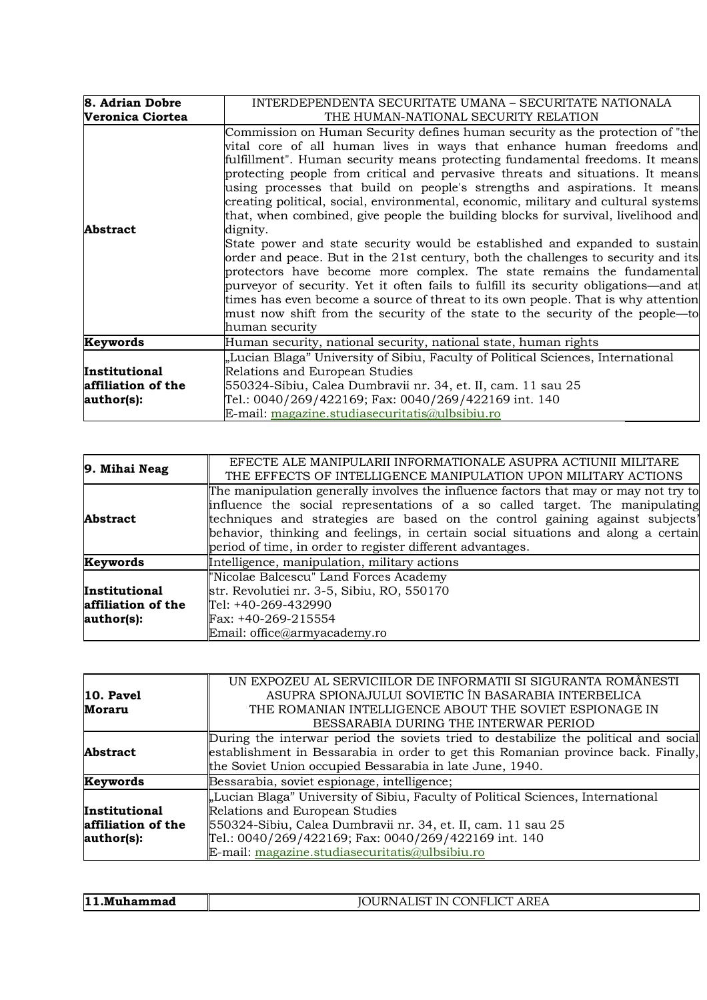| 8. Adrian Dobre                                   | INTERDEPENDENTA SECURITATE UMANA – SECURITATE NATIONALA                                                                                                                                                                                                                                                                                                                                                                                                                                                                                                                                                                                                                                                                                                                                                                                                                                                                                                                                                                                                                                                                     |
|---------------------------------------------------|-----------------------------------------------------------------------------------------------------------------------------------------------------------------------------------------------------------------------------------------------------------------------------------------------------------------------------------------------------------------------------------------------------------------------------------------------------------------------------------------------------------------------------------------------------------------------------------------------------------------------------------------------------------------------------------------------------------------------------------------------------------------------------------------------------------------------------------------------------------------------------------------------------------------------------------------------------------------------------------------------------------------------------------------------------------------------------------------------------------------------------|
| Veronica Ciortea                                  | THE HUMAN-NATIONAL SECURITY RELATION                                                                                                                                                                                                                                                                                                                                                                                                                                                                                                                                                                                                                                                                                                                                                                                                                                                                                                                                                                                                                                                                                        |
| <b>Abstract</b>                                   | Commission on Human Security defines human security as the protection of "the<br>wital core of all human lives in ways that enhance human freedoms and<br>fulfillment". Human security means protecting fundamental freedoms. It means<br>protecting people from critical and pervasive threats and situations. It means<br>using processes that build on people's strengths and aspirations. It means<br>creating political, social, environmental, economic, military and cultural systems<br>that, when combined, give people the building blocks for survival, livelihood and<br>dignity.<br>State power and state security would be established and expanded to sustain<br>order and peace. But in the 21st century, both the challenges to security and its<br>protectors have become more complex. The state remains the fundamental<br>purveyor of security. Yet it often fails to fulfill its security obligations—and at<br>times has even become a source of threat to its own people. That is why attention<br>must now shift from the security of the state to the security of the people—to<br>human security |
| Keywords                                          | Human security, national security, national state, human rights                                                                                                                                                                                                                                                                                                                                                                                                                                                                                                                                                                                                                                                                                                                                                                                                                                                                                                                                                                                                                                                             |
| Institutional<br>affiliation of the<br>author(s): | "Lucian Blaga" University of Sibiu, Faculty of Political Sciences, International<br>Relations and European Studies<br>550324-Sibiu, Calea Dumbravii nr. 34, et. II, cam. 11 sau 25<br>Tel.: 0040/269/422169; Fax: 0040/269/422169 int. 140<br>E-mail: magazine.studiasecuritatis@ulbsibiu.ro                                                                                                                                                                                                                                                                                                                                                                                                                                                                                                                                                                                                                                                                                                                                                                                                                                |

| 9. Mihai Neag                                     | EFECTE ALE MANIPULARII INFORMATIONALE ASUPRA ACTIUNII MILITARE<br>THE EFFECTS OF INTELLIGENCE MANIPULATION UPON MILITARY ACTIONS                                                                                                                                                                                                                                                                       |
|---------------------------------------------------|--------------------------------------------------------------------------------------------------------------------------------------------------------------------------------------------------------------------------------------------------------------------------------------------------------------------------------------------------------------------------------------------------------|
| <b>Abstract</b>                                   | The manipulation generally involves the influence factors that may or may not try to<br>influence the social representations of a so called target. The manipulating<br>techniques and strategies are based on the control gaining against subjects<br>behavior, thinking and feelings, in certain social situations and along a certain<br>period of time, in order to register different advantages. |
| Keywords                                          | Intelligence, manipulation, military actions                                                                                                                                                                                                                                                                                                                                                           |
| Institutional<br>affiliation of the<br>author(s): | "Nicolae Balcescu" Land Forces Academy<br>str. Revolutiei nr. 3-5, Sibiu, RO, 550170<br>Tel: +40-269-432990<br>Fax: +40-269-215554<br>Email: office@armyacademy.ro                                                                                                                                                                                                                                     |

|                    | UN EXPOZEU AL SERVICIILOR DE INFORMATII SI SIGURANTA ROMÂNESTI                       |
|--------------------|--------------------------------------------------------------------------------------|
| $10.$ Payel        | ASUPRA SPIONAJULUI SOVIETIC ÎN BASARABIA INTERBELICA                                 |
| Moraru             | THE ROMANIAN INTELLIGENCE ABOUT THE SOVIET ESPIONAGE IN                              |
|                    | BESSARABIA DURING THE INTERWAR PERIOD                                                |
|                    | During the interwar period the soviets tried to destabilize the political and social |
| <b>Abstract</b>    | establishment in Bessarabia in order to get this Romanian province back. Finally,    |
|                    | the Soviet Union occupied Bessarabia in late June, 1940.                             |
| Keywords           | Bessarabia, soviet espionage, intelligence;                                          |
|                    | "Lucian Blaga" University of Sibiu, Faculty of Political Sciences, International     |
| Institutional      | Relations and European Studies                                                       |
| affiliation of the | 550324-Sibiu, Calea Dumbravii nr. 34, et. II, cam. 11 sau 25                         |
| author(s):         | Tel.: 0040/269/422169; Fax: 0040/269/422169 int. 140                                 |
|                    | E-mail: magazine.studiasecuritatis@ulbsibiu.ro                                       |

| $T \cap T$<br><b>DE</b><br>IN<br>IN.<br>יי<br>M |               |        |
|-------------------------------------------------|---------------|--------|
|                                                 | 11<br>.hammad | 11 T.A |